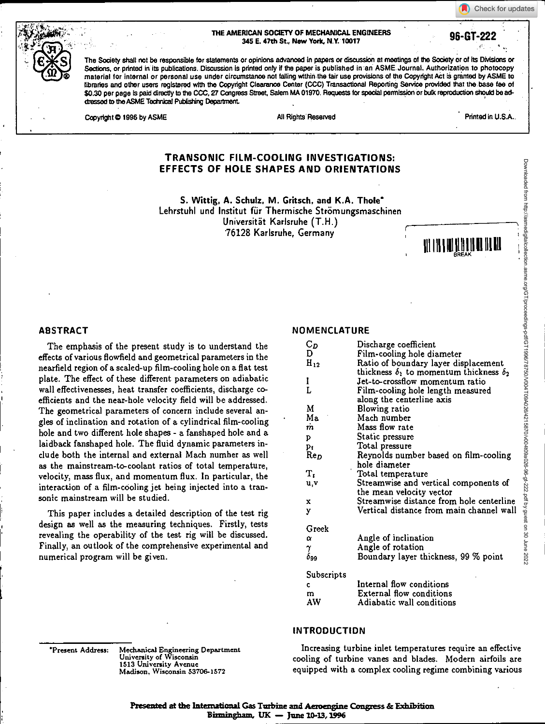#### **THE AMERICAN SOCIETY OF MECHANICAL ENGINEERS 345 E. 47th St, New York, N.Y. 10017 96-GT-222**

Check for updates

The Society shall not be responsible for statements or opinions advanced in papers or discussion at meetings of the Society or of its Divisions or Sections, or printed In its publications. Discussion is printed only if the paper is published in an ASME Journal. Authorization to photocopy material for internal or personal use under circumstance not falling within the fair use provisions of the Copyright Act ii granted by ASME to libraries and other users registered with the Copyright Clearance Center (CCC) Transactional Reporting Service provided that the base fee of \$0.30 per page is paid directly to the CCC, 27 Congress Street, Salem MA 01970. Requests for special permission or bulk reproduction should be addressed to the ASME Tedmical Publishing Department

Copyright © 1996 by ASME All Rights Reserved All Rights Reserved Printed In U.S.A..

## **TRANSONIC FILM-COOLING INVESTIGATIONS: EFFECTS OF HOLE SHAPES AND ORIENTATIONS**

**S. Wittig, A. Schulz. M. Gritsch, and K.A. Thole'**  Lehrstuhl und Institut für Thermische Strömungsmaschinen Universitat Karlsruhe (T.H.) 76128 Karlsruhe, Germany



#### **ABSTRACT**

The emphasis of the present study is to understand the effects of various flowfield and geometrical parameters in the nearfield region of a scaled-up film-cooling hole on a flat test plate. The effect of these different parameters on adiabatic wall effectivenesses, heat transfer coefficients, discharge coefficients and the near-hole velocity field will be addressed. The geometrical parameters of concern include several angles of inclination and rotation of a cylindrical film-cooling hole and two different hole shapes - a fanshaped hole and a laidback fanshaped hole. The fluid dynamic parameters include both the internal and external Mach number as well as the mainstream-to-coolant ratios of total temperature, velocity, mass flux, and momentum flux. In particular, the interaction of a film-cooling jet being injected into a transonic mainstream will be studied.

This paper includes a detailed description of the test rig design as well as the measuring techniques. Firstly, tests revealing the operability of the test rig will be discussed. Finally, an outlook of the comprehensive experimental and numerical program will be given.

#### **NOMENCLATURE**

| Cр<br>D      | Discharge coefficient                                                                         |
|--------------|-----------------------------------------------------------------------------------------------|
| $H_{12}$     | Film-cooling hole diameter                                                                    |
|              | Ratio of boundary layer displacement<br>thickness $\delta_1$ to momentum thickness $\delta_2$ |
| I            | Jet-to-crossflow momentum ratio                                                               |
| L            | Film-cooling hole length measured                                                             |
|              | along the centerline axis                                                                     |
| M            | Blowing ratio                                                                                 |
| Ma           | Mach number                                                                                   |
| m            | Mass flow rate                                                                                |
| P            | Static pressure                                                                               |
| P.           | Total pressure                                                                                |
| ${\rm Re}_D$ | Reynolds number based on film-cooling                                                         |
|              | hole diameter                                                                                 |
| т,           | Total temperature                                                                             |
| u v          | Streamwise and vertical components of                                                         |
|              | the mean velocity vector                                                                      |
| x            | Streamwise distance from hole centerline                                                      |
| y            | Vertical distance from main channel wall                                                      |
|              |                                                                                               |
| Greek        |                                                                                               |
| α            | Angle of inclination                                                                          |
| γ            | Angle of rotation                                                                             |
| $\delta$ 99  | Boundary layer thickness, 99 % point                                                          |
| Subscripts   |                                                                                               |
| C            | Internal flow conditions                                                                      |
| m            | <b>External flow conditions</b>                                                               |
| AW           | Adiabatic wall conditions                                                                     |
|              |                                                                                               |

'Present Address: Mechanical Engineering Department University of Wisconsin 1513 University Avenue Madison, Wisconsin 53706-1572

## **INTRODUCTION**

Increasing turbine inlet temperatures require an effective cooling of turbine vanes and blades. Modern airfoils are equipped with a complex cooling regime combining various

**Presented at the International Gas Tzabine and Aneengine Congress & Exisilsition Binningiam, UK — June 10-13,1996**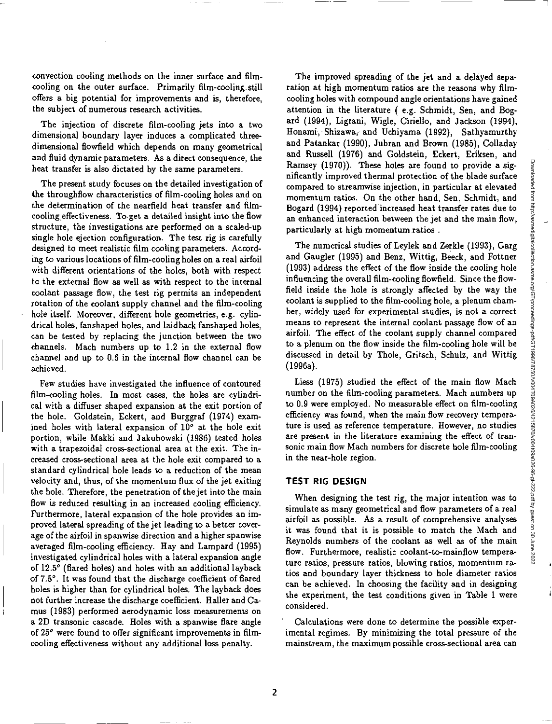convection cooling methods on the inner surface and filmcooling on the outer surface. Primarily film-cooling\_still offers a big potential for improvements and is, therefore, the subject of numerous research activities.

The injection of discrete film-cooling jets into a two dimensional boundary layer induces a complicated threedimensional flowfield which depends on many geometrical and fluid dynamic parameters. As a direct consequence, the heat transfer is also dictated by the same parameters.

The present study focuses on the detailed investigation of the throughflow characteristics of film-cooling holes and on the determination of the nearfield heat transfer and filmcooling effectiveness. To get a detailed insight into the flow structure, the investigations are performed on a scaled-up single hole ejection configuration. The test rig is carefully designed to meet realistic film cooling parameters. According to various locations of film-cooling holes on a real airfoil with different orientations of the holes, both with respect to the external flow as well as with respect to the internal coolant passage flow, the test rig permits an independent rotation of the coolant supply channel and the film-cooling hole itself. Moreover, different hole geometries, e.g. cylindrical holes, fanshaped holes, and laidback fanshaped holes, can be tested by replacing the junction between the two channels. Mach numbers up to 1.2 in the external flow channel and up to 0.6 in the internal flow channel can be achieved.

Few studies have investigated the influence of contoured film-cooling holes. In most cases, the holes are cylindrical with a diffuser shaped expansion at the exit portion of the hole. Goldstein, Eckert, and Burggraf (1974) examined holes with lateral expansion of  $10^{\circ}$  at the hole exit portion, while Makki and Jakubowski (1986) tested holes with a trapezoidal cross-sectional area at the exit. The increased cross-sectional area at the hole exit compared to a standard cylindrical hole leads to a reduction of the mean velocity and, thus, of the momentum flux of the jet exiting the hole. Therefore, the penetration of the jet into the main flow is reduced resulting in an increased cooling efficiency. Furthermore, lateral expansion of the hole provides an improved lateral spreading of the jet leading to a better coverage of the airfoil in spanwise direction and a higher spanwise averaged film-cooling efficiency. Hay and Lampard (1995) investigated cylindrical holes with a lateral expansion angle of 12.5° (flared holes) and holes with an additional layback of 7.5°. It was found that the discharge coefficient of flared boles is higher than for cylindrical holes. The layback does not further increase the discharge coefficient. Haller and Camus (1983) performed aerodynamic loss measurements on a 2D transonic cascade. Holes with a spanwise flare angle of 25° were found to offer significant improvements in filmcooling effectiveness without any additional loss penalty.

The improved spreading of the jet and a delayed separation at high momentum ratios are the reasons why filmcooling holes with compound angle orientations have gained attention in the literature ( e.g. Schmidt, Sen, and Bogard (1994), Ligrani, Wigle, Ciriello, and Jackson (1994), Honami, Shizawa, and Uchiyama (1992), Sathyamurthy and Patankar (1990), Jubran and Brown (1985), Colladay and Russell (1976) and Goldstein, Eckert, Eriksen, and Ramsey (1970)). These holes are found to provide a significantly improved thermal protection of the blade surface compared to streamwise injection, in particular at elevated momentum ratios. On the other hand, Sen, Schmidt, and Bogard (1994) reported increased heat transfer rates due to an enhanced interaction between the jet and the main flow, particularly at high momentum ratios .

The numerical studies of Leylek and Zerkle (1993), Garg and Gaugler (1995) and Benz, Wittig, Beeck, and Fottner (1993) address the effect of the flow inside the cooling hole influencing the overall film-cooling flowfield. Since the flowfield inside the hole is strongly affected by the way the coolant is supplied to the film-cooling hole, a plenum chamber, widely used for experimental studies, is not a correct means to represent the internal coolant passage flow of an airfoil. The effect of the coolant supply channel compared to a plenum on the flow inside the film-cooling hole will be discussed in detail by Thole, Gritsch, Schulz, and Wittig (1996a).

Liess (1975) studied the effect of the main flow Mach number on the film-cooling parameters. Mach numbers up to 0.9 were employed. No measurable effect on film-cooling efficiency was found, when the main flow recovery temperature is used as reference temperature. However, no studies are present in the literature examining the effect of transonic main flow Mach numbers for discrete hole film-cooling in the near-hole region.

#### **TEST RIG DESIGN**

When designing the test rig, the major intention *was* to simulate as many geometrical and flow parameters of a real airfoil as possible. As a result of comprehensive analyses it was found that it is possible to match the Mach and Reynolds numbers of the coolant as well as of the main flow. Furthermore, realistic coolant-to-mainflow temperature ratios, pressure ratios, blowing ratios, momentum ratios and boundary layer thickness to hole diameter ratios can be achieved. In choosing the facility and in designing the experiment, the test conditions given in Table 1 were considered.

Calculations were done to determine the possible experimental regimes. By minimizing the total pressure of the mainstream, the maximum possible cross-sectional area can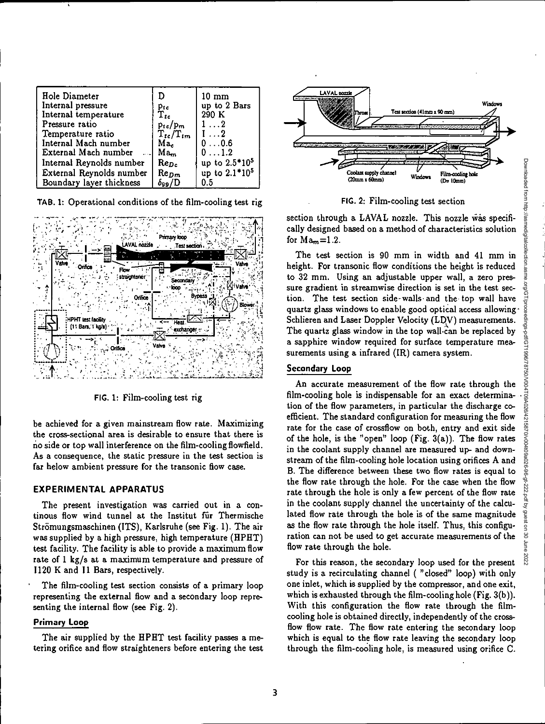kq µpd

 $\mathsf{S}$ 

2022

| Hole Diameter            |                           | $10 \text{ mm}$           |
|--------------------------|---------------------------|---------------------------|
| Internal pressure        | Ptc                       | up to 2 Bars              |
| Internal temperature     | $\mathbf{\tilde{T}_{to}}$ | 290 K                     |
| Pressure ratio           | $p_{te}/p_m$              | $1 \ldots 2$              |
| Temperature ratio        | $T_{tc}/T_{tm}$           | $1 \ldots 2$              |
| Internal Mach number     | Ma <sub>c</sub>           | 00.6                      |
| External Mach number     | $Ma_m$                    | $0 \ldots 1.2$            |
| Internal Reynolds number | $Re_{Dc}$                 | up to 2.5*10 <sup>5</sup> |
| External Reynolds number | $Re_{Dm}$                 | up to 2.1*10 <sup>5</sup> |
| Boundary layer thickness | $\delta_{99}/D$           | 0.5                       |

**TAB. 1:** Operational conditions of the film-cooling test rig



**FIG.** 1: Film-cooling test rig

be achieved for a given mainstream flow rate. Maximizing the cross-sectional area is desirable to ensure that there is no side or top wall interference on the film-cooling flowfield. As a consequence, the static pressure in the test section is far below ambient pressure for the transonic flow case.

### **EXPERIMENTAL APPARATUS**

The present investigation was carried out in a continous flow wind tunnel at the Institut für Thermische Strömungsmaschinen (ITS), Karlsruhe (see Fig. 1). The air was supplied by a high pressure, high temperature (HPHT) test facility. The facility is able to provide a maximum flow rate of 1 kg/s at a maximum temperature and pressure of 1120 K and 11 Bars, respectively.

The film-cooling test section consists of a primary loop representing the external flow and a secondary loop representing the internal flow (see Fig. 2).

# **Primary Loop**

**The** air supplied by the HPHT test facility passes a metering orifice and flow straighteners before entering the test



**FIG. 2: Film-cooling** test section

section through a LAVAL nozzle. This nozzle was specifically designed based on a method of characteristics solution for  $Ma_m=1.2$ .

The test section is 90 mm in width and 41 mm in height. For transonic flow conditions the height is reduced to 32 mm. Using an adjustable upper wall, a zero pressure gradient in streamwise direction is set in the test section. The test section side-walls- and the top wall have quartz glass windows to enable good optical access allowing-Schlieren and Laser Doppler Velocity (LDV) measurements. The quartz glass window in the top wall.can be replaced by a sapphire window required for surface temperature measurements using a infrared (IR) camera system.

## **Secondary Loop**

An accurate measurement of the flow rate through the sure gradient in streamwise direction is set in the test sec-<br>tion. The test section side-walls and the top wall have<br>quartz glass windows to enable good optical access allowing.<br>Schlieren and Laser Doppler Velocity (LDV) tion of the flow parameters, in particular the discharge coefficient. The standard configuration for measuring the flow rate for the case of crossflow on both, entry and exit side of the hole, is the "open" loop (Fig.  $3(a)$ ). The flow rates in the coolant supply channel are measured up- and downstream of the film-cooling hole location using orifices A and B. The difference between these two flow rates is equal to the flow rate through the hole. For the case when the flow rate through the hole is only a few percent of the flow rate in the coolant supply channel the uncertainty of the calculated flow rate through the hole is of the same magnitude as the flow rate through the hole itself. Thus, this configuration can not be used to get accurate measurements of the flow rate through the hole.

For this reason, the secondary loop used for the present study is a recirculating channel ( "closed" loop) with only one inlet, which is supplied by the compressor, and one exit, which is exhausted through the film-cooling hole (Fig. 3(b)). With this configuration the flow rate through the filmcooling hole is obtained directly, independently of the crossflow flow rate. The flow rate entering the secondary loop which is equal to the flow rate leaving the secondary loop through the film-cooling hole, is measured using orifice C.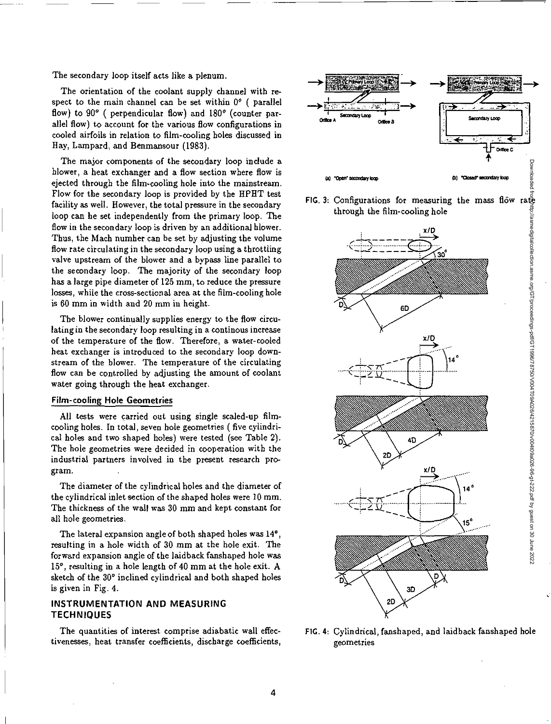The secondary loop itself acts like a plenum.

The orientation of the coolant supply channel with respect to the main channel can be set within  $0^{\circ}$  ( parallel flow) to 90° ( perpendicular flow) and 180° (counter parallel flow) to account for the various flow configurations in cooled airfoils in relation to film-cooling holes discussed in Hay, Lampard, and Benmansour (1983).

The major components of the secondary loop include a blower, a heat exchanger and a flow section where flow is ejected through the film-cooling hole into the mainstream. Flow for the secondary loop is provided by the HPHT test facility as well. However, the total pressure in the secondary loop can be set independently from the primary loop. The flow in the secondary loop is driven by an additional hlower. Thus, the Mach number can be set by adjusting the volume flow rate circulating in the secondary loop using a throttling valve upstream of the blower and a bypass line parallel to the secondary loop. The majority of the secondary loop has a large pipe diameter of 125 mm, to reduce the pressure losses, while the cross-sectional area at the film-cooling hole is 60 mm in width and 20 mm in height.

The blower continually supplies energy to the flow circulating in the secondary loop resulting in a continous increase of the temperature of the flow. Therefore, a water-cooled heat exchanger is introduced to the secondary loop downstream of the blower. The temperature of the circulating flow can be controlled by adjusting the amount of coolant water going through the heat exchanger.

### **Film-cooling Hole Geometries**

All tests were carried out using single scaled-up filmcooling holes. In total, seven hole geometries ( five cylindrical holes and two shaped holes) were tested (see Table 2). The hole geometries were decided in cooperation with the industrial partners involved in the present research program.

The diameter of the cylindrical holes and the diameter of the cylindrical inlet section of the shaped holes were 10 mm. The thickness of the wall was 30 mm and kept constant for all hole geometries.

The lateral expansion angle of both shaped holes *was* 14°, resulting in a hole width of 30 mm at the hole exit. The forward expansion angle of the laidback fanshaped hole was 15°, resulting in a hole length of 40 mm at the hole exit. A sketch of the 30° inclined cylindrical and both shaped holes is given in Fig. 4.

## **INSTRUMENTATION AND MEASURING TECHNIQUES**

The quantities of interest comprise adiabatic wall effec- FIG. 4: Cylindrical, fanshaped, and laidback fanshaped hole tivenesses, heat transfer coefficients, discharge coefficients, geometries





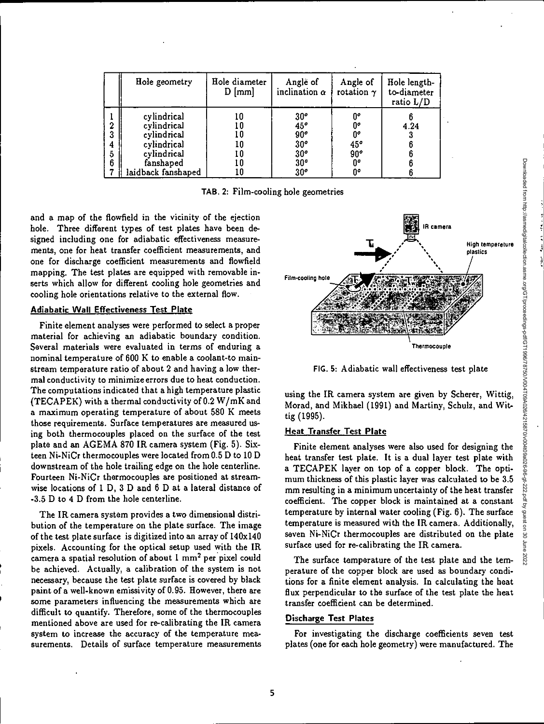|             | Hole geometry                                                                                              | Hole diameter<br>$D$ [mm]              | Angle of<br>inclination $\alpha$                                                            | Angle of<br>rotation $\gamma$               | Hole length-<br>to-diameter<br>ratio L/D |
|-------------|------------------------------------------------------------------------------------------------------------|----------------------------------------|---------------------------------------------------------------------------------------------|---------------------------------------------|------------------------------------------|
| 3<br>5<br>6 | cylindrical<br>cylindrical<br>cylindrical<br>cylindrical<br>cylindrical<br>fanshaped<br>laidback fanshaped | 10<br>10<br>10<br>10<br>10<br>10<br>l0 | $\frac{30^o}{45^o}$<br>90°<br>30 <sup>o</sup><br>$\frac{30^{o}}{30^{o}}$<br>30 <sup>o</sup> | 0°<br>00<br>0°<br>45°<br>90°<br>$0^o$<br>0° | 4.24                                     |

**TAB. 2:** Film-cooling hole geometries

and a map of the flowfield in the vicinity of the ejection hole. Three different types of test plates have been designed including one for adiabatic effectiveness measurements, one for heat transfer coefficient measurements, and one for discharge coefficient measurements and flowfield mapping. The test plates are equipped with removable inserts which allow for different cooling hole geometries and cooling hole orientations relative to the external flow.

### **Adiabatic Wall Effectiveness Test Plate**

Finite element analyses were performed to select a proper material for achieving an adiabatic boundary condition. Several materials were evaluated in terms of enduring a nominal temperature of 600 K to enable a coolant-to mainstream temperature ratio of about 2 and having a low thermal conductivity to minimize errors due to heat conduction. The computations indicated that a high temperature plastic (TECAPEK) with a thermal conductivity of 0.2 W/mK and a maximum operating temperature of about 580 K meets those requirements. Surface temperatures are measured using both thermocouples placed on the surface of the test plate and an AGEMA 870 **IR** camera system (Fig. 5). Sixteen Ni-NiCr thermocouples were located from 0.5 D to 10 D downstream of the hole trailing edge on the hole centerline. Fourteen Ni-NiCr thermocouples are positioned at streamwise locations of I D, 3 D and 6 D at a lateral distance of -3.5 D to 4 D from the hole centerline.

The **IR** camera system provides a two dimensional distribution of the temperature on the plate surface. The image of the test plate surface is digitized into an array of 140x140 pixels. Accounting for the optical setup used with the IR camera a spatial resolution of about  $1 \text{ mm}^2$  per pixel could be achieved. Actually, a calibration of the system is not necessary, because the test plate surface is covered by black paint of a well-known emissivity of 0.95. However, there are some parameters influencing the measurements which are difficult to quantify. Therefore, some of the thermocouples mentioned above are used for re-calibrating the **IR** camera system to increase the accuracy of the temperature measurements. Details of surface temperature measurements



**FIG.** 5: Adiabatic wall effectiveness test plate

using the **IR** camera system are given by Scherer, Wittig, Morad, and Mikhael (1991) and Martiny, Schulz, and Wittig (1995).

#### **Heat Transfer Test Plate**

Finite element analyses were also used for designing the heat transfer test plate. It is a dual layer test plate with a TECAPEK layer on top of a copper block. The optimum thickness of this plastic layer was calculated to be 3.5 mm resulting in a minimum uncertainty of the heat transfer coefficient. The copper block is maintained at a constant temperature by internal water cooling (Fig. 6). The surface temperature is measured with the **IR** camera. Additionally, seven Ni-NiCr thermocouples are distributed on the plate surface used for re-calibrating the IR camera.

The surface temperature of the test plate and the temperature of the copper block are used as boundary conditions for a finite element analysis. In calculating the heat flux perpendicular to the surface of the test plate the heat transfer coefficient can be determined.

### **Discharge Test Plates**

For investigating the discharge coefficients seven test plates (one for each hole geometry) were manufactured. The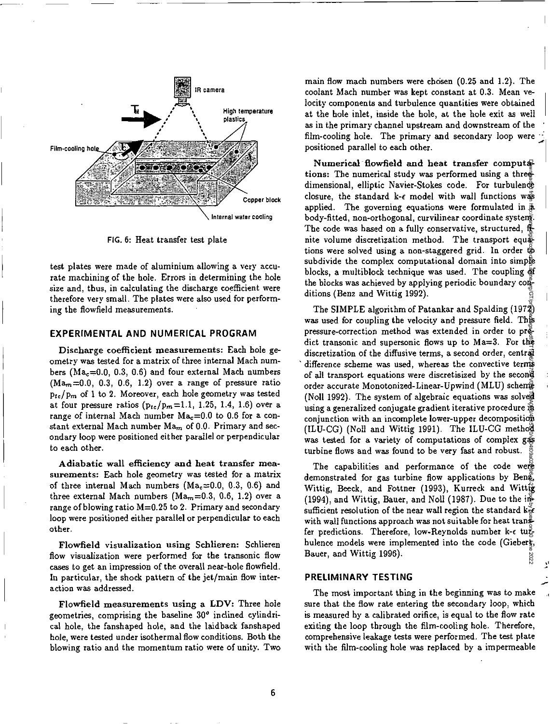

**FIG.** 6: Heat transfer test plate

test plates were made of aluminium allowing a very accurate machining of the hole. Errors in determining the hole size and, thus, in calculating the discharge coefficient were therefore very small. The plates were also used for performing the flowfield measurements.

#### **EXPERIMENTAL AND NUMERICAL PROGRAM**

**Discharge coefficient measurements:** Each hole geometry was tested for a matrix of three internal Mach numbers (Ma<sub>c</sub>=0.0, 0.3, 0.6) and four external Mach numbers  $(Ma<sub>m</sub>=0.0, 0.3, 0.6, 1.2)$  over a range of pressure ratio  $p_{tc}/p_m$  of 1 to 2. Moreover, each hole geometry was tested at four pressure ratios  $(p_{tc}/p_m=1.1, 1.25, 1.4, 1.6)$  over a range of internal Mach number  $Ma_c=0.0$  to 0.6 for a constant external Mach number Ma<sub>m</sub> of 0.0. Primary and secondary loop were positioned either parallel or perpendicular to each other.

**Adiabatic wall efficiency and heat transfer measurements:** Each hole geometry *was* tested for a matrix of three internal Mach numbers (Ma<sub>c</sub> $=0.0, 0.3, 0.6$ ) and three external Mach numbers (Ma<sub>m</sub> $=0.3, 0.6, 1.2$ ) over a range of blowing ratio  $M=0.25$  to 2. Primary and secondary loop were positioned either parallel or perpendicular to each other.

**Flowfield visualization using Schlieren:** Schlieren flow visualization were performed for the transonic flow cases to get an impression of the overall near-hole **flowfield.**  In particular, the shock pattern of the jet/main flow interaction was addressed.

**Flowfield measurements using a LDV:** Three hole geometries, comprising the baseline 30° inclined cylindrical hole, the fanshaped hole, and the laidback fanshaped hole, were tested under isothermal flow conditions. Both the blowing ratio and the momentum ratio were of unity. Two main flow mach numbers were chosen  $(0.25$  and 1.2). The coolant Mach number *was* kept constant at 0.3. Mean velocity components and turbulence quantities were obtained at the hole inlet, inside the hole, at the hole exit as well as in the primary channel upstream and downstream of the film-cooling hole. The primary and secondary loop were positioned parallel to each other.

**Numerical flowfield and heat transfer computa**tions: The numerical study was performed using a threedimensional, elliptic Navier-Stokes code. For turbulence closure, the standard k- $\epsilon$  model with wall functions was applied. The governing equations were formulated in  $\bar{a}$ body-fitted, non-orthogonal, curvilinear coordinate system. The code was hased on a fully conservative, structured,  $\mathbf{f}_r$ nite volume discretization method. The transport equations were solved using a non-staggered grid. In order to subdivide the complex computational domain into simple blocks, a multiblock technique was used. The coupling of the blocks was achieved by applying periodic boundary conditions (Benz and Wittig 1992).

The SIMPLE algorithm of Patankar and Spalding (1972) was used for coupling the velocity and pressure field. This pressure-correction method was extended in order to pr $\ddot{\text{e}}$ dict transonic and supersonic flows up to Ma=3. For the discretization of the diffusive terms, a second order, central difference scheme was used, whereas the convective terms of all transport equations were discretisized by the second order accurate Monotonized-Linear-Upwind (MLU) scheme (Noll 1992). The system of algebraic equations was solved using a generalized conjugate gradient iterative procedure in conjunction with an incomplete lower-upper decomposition (ILU-CG) (Noll and Wittig 1991). The ILU-CG method was tested for a variety of computations of complex gas turbine flows and was found to be very fast and robust. Downloaded from http://aspecialcollection.aspecialcollogicallection.aspecialcollogicalcollection.aspecialcollogicalcollection.aspecialcollogicalcollection.aspecialcollogicalcollogicalcollection.aspecialcollection.aspecialc

The capabilities and performance of the code were demonstrated for gas turbine flow applications by Beng, Wittig, Beeck, and Fottner (1993), Kurreck and Wittig (1994), and Wittig, Bauer, and Noll (1987). Due to the insufficient resolution of the near wall region the standard  $k_{\text{eff}}^2$ with wall functions approach was not suitable for heat transfer predictions. Therefore, low-Reynolds number k- $\epsilon$  tu $\bar{\psi}$ bulence models were implemented into the code (Giebert, Bauer, and Wittig 1996). 2022

#### **PRELIMINARY TESTING**

The most important thing in the beginning was to make sure that the flow rate entering the secondary loop, which is measured by a calibrated orifice, is equal to the flow rate exiting the loop through the film-cooling hole. Therefore, comprehensive leakage tests were performed. The test plate with the film-cooling hole was replaced by a impermeable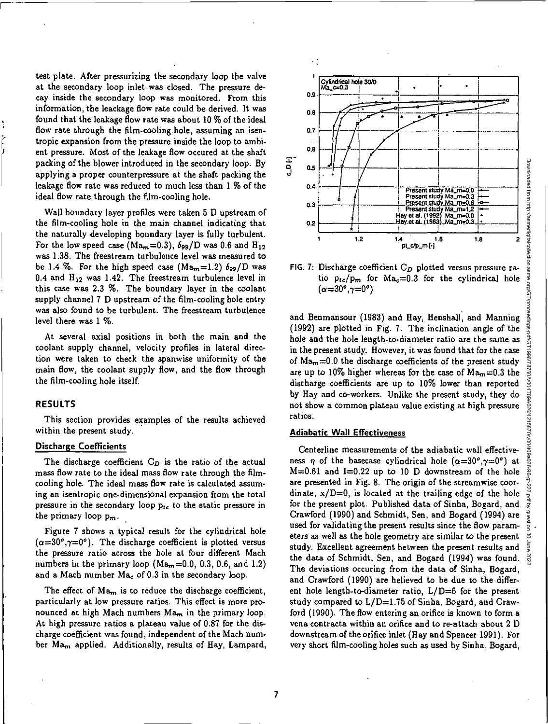test plate. After pressurizing the secondary loop the valve at the secondary loop inlet was closed. The pressure decay inside the secondary loop was monitored. From this information, the leackage flow rate could be derived. It was found that the leakage flow rate *was* about 10 % of the ideal flow rate through the film-cooling hole, assuming an isentropic expansion from the pressure inside the loop to ambient pressure. Most of the leakage flow occured at the shaft packing of the blower introduced in the secondary loop. By applying a proper counterpressure at the shaft packing the leakage flow rate was reduced to much less than 1 % of the ideal flow rate through the film-cooling hole.

Wall boundary layer profiles were taken 5 D upstream of the film-cooling hole in the main channel indicating that the naturally developing boundary layer is fully turbulent. For the low speed case  $(Ma_m=0.3)$ ,  $\delta_{99}/D$  was 0.6 and  $H_{12}$ was 1.38. The freestream turbulence level was measured to be 1.4 %. For the high speed case  $(Ma_m=1.2)$   $\delta_{99}/D$  was 0.4 and  $H_{12}$  was 1.42. The freestream turbulence level in this case was 2.3 %. The boundary layer in the coolant supply channel 7 D upstream of the film-cooling hole entry was also found to *be* turbulent. The freestream turbulence level there was 1 %.

At several axial positions in both the main and the coolant supply channel, velocity profiles in lateral direction were taken to check the spanwise uniformity of the main flow, the coolant supply flow, and the flow through the film-cooling hole itself.

## RESULTS

This section provides examples of the results achieved within the present study.

#### Discharge Coefficients

The discharge coefficient  $C_D$  is the ratio of the actual mass flow rate to the ideal mass flow rate through the filmcooling hole. The ideal mass flow rate is calculated assuming an isentropic one-dimensional expansion from the total pressure in the secondary loop  $p_{te}$  to the static pressure in the primary loop  $p_m$ .

Figure 7 shows a typical result for the cylindrical hole  $(\alpha=30^{\circ}, \gamma=0^{\circ})$ . The discharge coefficient is plotted versus the pressure ratio across the hole at four different Mach numbers in the primary loop  $(Ma_m=0.0, 0.3, 0.6,$  and 1.2) and a Mach number  $Ma<sub>c</sub>$  of 0.3 in the secondary loop.

The effect of  $Ma_m$  is to reduce the discharge coefficient, particularly at low pressure ratios. This effect is more pronounced at high Mach numbers  $Ma_m$  in the primary loop. At high pressure ratios a plateau value of 0.87 for the discharge coefficient *was* found, independent of the Mach number Ma<sub>m</sub> applied. Additionally, results of Hay, Lampard,



FIG. 7: Discharge coefficient  $C_D$  plotted versus pressure ratio  $p_{te}/p_m$  for  $Ma_c=0.3$  for the cylindrical hole  $(\alpha=30^\circ, \gamma=0^\circ)$ 

and Benmansour (1983) and Hay, Henshall, and Manning (1992) are plotted in Fig. 7. The inclination angle of the hole and the hole length-to-diameter ratio are the same as in the present study. However, it was found that for the case of  $Ma_m = 0.0$  the discharge coefficients of the present study are up to 10% higher whereas for the case of  $\text{Ma}_m = 0.3$  the discharge coefficients are up to 10% lower than reported by Hay and co-workers. Unlike the present study, they do not show a common plateau value existing at high pressure ratios.

#### **Adiabatic Wall Effectiveness**

Centerline measurements of the adiabatic wall effectiveness  $\eta$  of the basecase cylindrical hole  $(\alpha=30^{\circ}, \gamma=0^{\circ})$  at  $M=0.61$  and  $I=0.22$  up to 10 D downstream of the hole are presented in Fig. 8. The origin of the streamwise coordinate,  $x/D=0$ , is located at the trailing edge of the hole for the present plot. Published data of Sinha, Bogard, and Crawford (1990) and Schmidt, Sen, and Bogard (1994) are used for validating the present results since the flow parameters as well as the hole geometry are similar to the present study. Excellent agreement between the present results and the data of Schmidt, Sen, and Bogard (1994) was found. The deviations occuring from the data of Sinha, Bogard, and Crawford (1990) are believed to be due to the different hole length-to-diameter ratio,  $L/D=6$  for the present study compared to  $L/D=1.75$  of Sinha, Bogard, and Crawford (1990). The flow entering an orifice is known to form a vena contracta within an orifice and to re-attach about 2 D downstream of the orifice inlet (Hay and Spencer 1991). For very short film-cooling holes such as used by Sinha, Bogard,

Downloaded from http://asmedigitalcollection Downloaded from http://asmedigitalcollection.asme.org/GT/proceedings-pdf/GT1996/78750/V004T09A026/4215870/v004t09a026-96-gt-222.pdf by guest on 30 June 2022asme.org/GT/proceedings-pdf/GT1996178750/V004T09A026/4215870/V004109a026-96-gt-222. pdf by guest on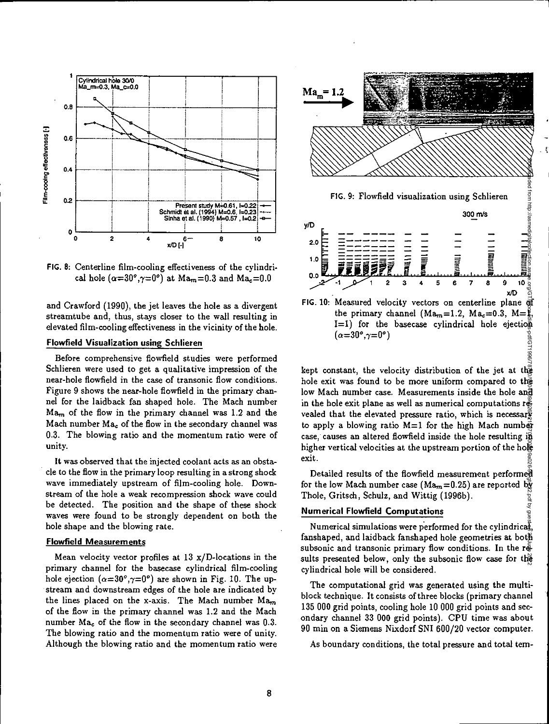

FIG. 8: Centerline film-cooling effectiveness of the cylindrical hole ( $\alpha=30^\circ,\gamma=0^\circ$ ) at Ma<sub> $m=0.3$ </sub> and Ma<sub>c</sub>=0.0

and Crawford (1990), the jet leaves the hole as a divergent streamtube and, thus, stays closer to the wall resulting in elevated film-cooling effectiveness in the vicinity of the hole.

#### **Flowfield Visualization using Schlieren**

Before comprehensive flowfield studies were performed Schlieren were used to get a qualitative impression of the near-hole flowfield in the case of transonic flow conditions. Figure 9 shows the near-hole flowfield in the primary channel for the laidback fan shaped hole. The Mach number  $Ma<sub>m</sub>$  of the flow in the primary channel was 1.2 and the Mach number  $Ma_c$  of the flow in the secondary channel was 0.3. The blowing ratio and the momentum ratio were of unity.

It was observed that the injected coolant acts as an obstacle to the flow in the primary loop resulting in a strong shock wave immediately upstream of film-cooling hole. Downstream of the hole a weak recompression shock wave could be detected. The position and the shape of these shock waves were found to be strongly dependent on both the hole shape and the blowing rate.

### **Flowfield Measurements**

Mean velocity vector profiles at  $13 \text{ x/D-locations}$  in the primary channel for the basecase cylindrical film-cooling hole ejection  $(\alpha=30^\circ, \gamma=0^\circ)$  are shown in Fig. 10. The upstream and downstream edges of the hole are indicated by the lines placed on the x-axis. The Mach number  $Ma_m$ of the flow in the primary channel *was* 1.2 and the Mach number  $Ma<sub>c</sub>$  of the flow in the secondary channel was 0.3. The blowing ratio and the momentum ratio were of unity. Although the blowing ratio and the momentum ratio were



kept constant, the velocity distribution of the jet at the hole exit was found to be more uniform compared to the low Mach number case. Measurements inside the hole and in the hole exit plane as well as numerical computations revealed that the elevated pressure ratio, which is necessary to apply a blowing ratio  $M=1$  for the high Mach number case, causes an altered flowfield inside the hole resulting in higher vertical velocities at the upstream portion of the hole exit.

Detailed results of the flowfield measurement performed for the low Mach number case (Ma<sub>m</sub> = 0.25) are reported by Thole, Gritsch, Schulz, and Wittig (1996b).

### **Numerical Flowfield Computations**

Numerical simulations were performed for the cylindrica $\ddot{\xi}$ fanshaped, and laidback fanshaped hole geometries at both subsonic and transonic primary flow conditions. In the results presented below, only the subsonic flow case for the cylindrical hole will be considered.

The computational grid was generated using the multiblock technique. It consists of three blocks (primary channel 135 000 grid points, cooling hole 10 000 grid points and secondary channel 33 000 grid points). CPU time was about 90 min on a Siemens Nixdorf SNI 600/20 vector computer.

As boundary conditions, the total pressure and total tem-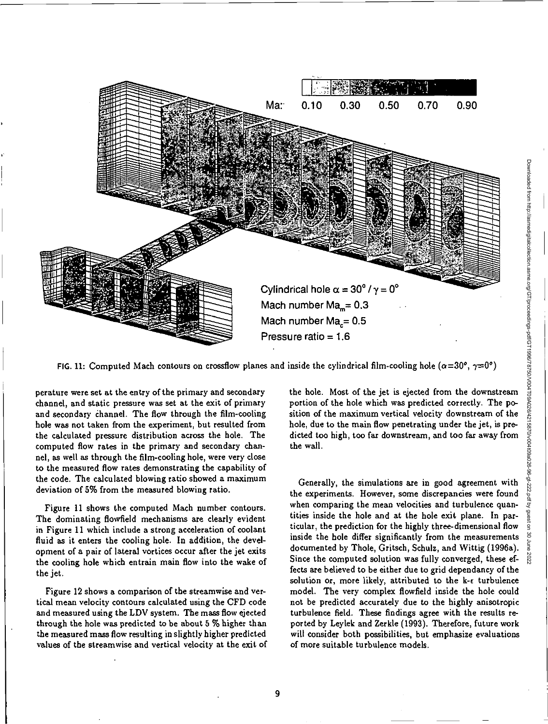

FIG. 11: Computed Mach contours on crossflow planes and inside the cylindrical film-cooling hole ( $\alpha=30^\circ$ ,  $\gamma=0^\circ$ )

perature were set at the entry of the primary and secondary channel, and static pressure was set at the exit of primary and secondary channel. The flow through the film-cooling hole was not taken from the experiment, but resulted from the calculated pressure distribution across the hole. The computed flow rates in the primary and secondary channel, as well as through the film-cooling hole, were very close to the measured flow rates demonstrating the capability of the code. The calculated blowing ratio showed a maximum deviation of 5% from the measured blowing ratio.

Figure 11 shows the computed Mach number contours. The dominating flowfield mechanisms are clearly evident in Figure 11 which include a strong acceleration of coolant fluid as it enters the cooling hole. In addition, the development of a pair of lateral vortices occur after the jet exits the cooling hole which entrain main flow into the wake of the jet.

Figure 12 shows a comparison of the streamwise and vertical mean velocity contours calculated using the CFD code and measured using the LDV system. The *mass* flow ejected through the hole was predicted to be about 5 % higher than the measured mass flow resulting in slightly higher predicted values of the streamwise and vertical velocity at the exit of the hole. Most of the jet is ejected from the downstream portion of the hole which was predicted correctly. The position of the maximum vertical velocity downstream of the hole, due to the main flow penetrating under the jet, is predicted too high, too far downstream, and too far away from the wall.

Generally, the simulations are in good agreement with the experiments. However, some discrepancies were found when comparing the mean velocities and turbulence quantities inside the hole and at the hole exit plane. In particular, the prediction for the highly three-dimensional flow inside the hole differ significantly from the measurements documented by Thole, Gritsch, Schulz, and Wittig (1996a). Since the computed solution was fully converged, these effects are believed to be either due to grid dependancy of the solution or, more likely, attributed to the k-c turbulence model. The very complex flowfield inside the hole could not be predicted accurately due to the highly anisotropic turbulence field. These findings agree with the results reported by Leylek and Zerkle (1993). Therefore, future work will consider both possibilities, but emphasize evaluations of more suitable turbulence models.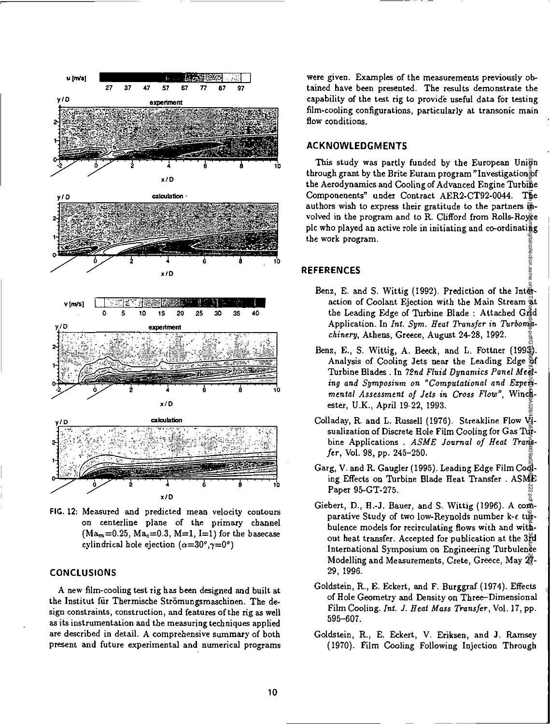

**FIG. 12:** Measured and predicted mean velocity contours on centerline plane of the primary channel  $(Ma_m=0.25, Ma_c=0.3, M=1, I=1)$  for the basecase cylindrical hole ejection  $(\alpha=30^\circ, \gamma=0^\circ)$ 

### **CONCLUSIONS**

A new film-cooling test rig has been designed and built at the Institut für Thermische Strömungsmaschinen. The design constraints, construction, and features of the rig as well as its instrumentation and the measuring techniques applied are described in detail. A comprehensive summary of both present and future experimental and numerical programs

were given. Examples of the measurements previously obtained have been presented. The results demonstrate the capability of the test rig to provide useful data for testing film-cooling configurations, particularly at transonic main flow conditions.

## **ACKNOWLEDGMENTS**

This study was partly funded by the European Unign through grant by the Brite Euram program "Investigation  $\frac{1}{6}$ the Aerodynamics and Cooling of Advanced Engine Turbine Componenents" under Contract AER2-CT92-0044. The authors wish to express their gratitude to the partners  $\overline{B}$ volved in the program and to R. Clifford from Rolls-Royce plc who played an active role in initiating and co-ordinating the work program. Downloaded from http://wsm.pdf/gitalcollection.asme.org/GT/proceedings-pdf/GT1996070201011490A029/AC158190/VDf4158190/VDf415890/202201149.96216011149.202201149.pdf

## **REFERENCES**

Benz, E. and S. Wittig (1992). Prediction of the Integaction of Coolant Ejection with the Main Stream at the Leading Edge of Turbine Blade : Attached Grid Application. In *Int. Sym. Heat Transfer in Turbomachinery,* Athens, Greece, August 24-28, 1992.

lection

- Benz, E., S. Wittig, A. Beeck, and L. Fottner (1993). Analysis of Cooling Jets near the Leading Edge of Turbine Blades . In *72nd Fluid Dynamics Panel Meeting and Symposium on "Computational and Experimental Assessment of Jets in Cross Flow",* Winchester, U.K., April 19-22, 1993.
- Colladay, R. and L. Russell (1976). Streakline Flow Visualization of Discrete Hole Film Cooling for Gas Tuebine Applications . *ASME Journal of Heat Transfer,* Vol. 98, pp. 245-250.
- Garg, V. and R. Gaugler (1995). Leading Edge Film Cooling Effects on Turbine Blade Heat Transfer . ASME Paper 95-GT-275.
- Giebert, D., H.-J. Bauer, and S. Wittig (1996). A comparative Study of two low-Reynolds number k-c turbulence models for recirculating flows with and without heat transfer. Accepted for publication at the 3rd International Symposium on Engineering Turbulence Modelling and Measurements, Crete, Greece, May 27- 29, 1996.
- Goldstein, R., E. Eckert, and F. Burggraf (1974). Effects of Hole Geometry and Density on Three-Dimensional Film Cooling. *Int. J. Heat Mass Transfer,* Vol. 17, pp. 595-607.
- Goldstein, R., E. Eckert, V. Eriksen, and J. Ramsey (1970). Film Cooling Following Injection Through